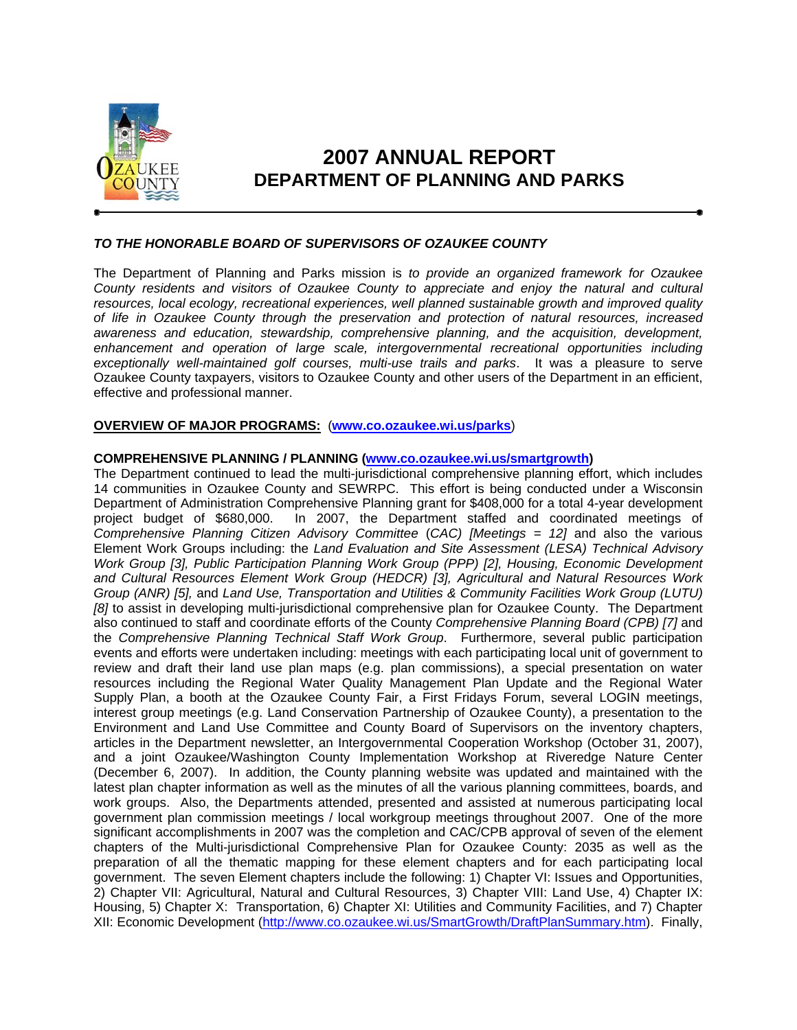

# **2007 ANNUAL REPORT DEPARTMENT OF PLANNING AND PARKS**

# *TO THE HONORABLE BOARD OF SUPERVISORS OF OZAUKEE COUNTY*

The Department of Planning and Parks mission is *to provide an organized framework for Ozaukee County residents and visitors of Ozaukee County to appreciate and enjoy the natural and cultural resources, local ecology, recreational experiences, well planned sustainable growth and improved quality of life in Ozaukee County through the preservation and protection of natural resources, increased awareness and education, stewardship, comprehensive planning, and the acquisition, development, enhancement and operation of large scale, intergovernmental recreational opportunities including exceptionally well-maintained golf courses, multi-use trails and parks*. It was a pleasure to serve Ozaukee County taxpayers, visitors to Ozaukee County and other users of the Department in an efficient, effective and professional manner.

# **OVERVIEW OF MAJOR PROGRAMS:** (**www.co.ozaukee.wi.us/parks**)

## **COMPREHENSIVE PLANNING / PLANNING (www.co.ozaukee.wi.us/smartgrowth)**

The Department continued to lead the multi-jurisdictional comprehensive planning effort, which includes 14 communities in Ozaukee County and SEWRPC. This effort is being conducted under a Wisconsin Department of Administration Comprehensive Planning grant for \$408,000 for a total 4-year development project budget of \$680,000. In 2007, the Department staffed and coordinated meetings of *Comprehensive Planning Citizen Advisory Committee* (*CAC) [Meetings = 12]* and also the various Element Work Groups including: the *Land Evaluation and Site Assessment (LESA) Technical Advisory Work Group [3], Public Participation Planning Work Group (PPP) [2], Housing, Economic Development and Cultural Resources Element Work Group (HEDCR) [3], Agricultural and Natural Resources Work Group (ANR) [5],* and *Land Use, Transportation and Utilities & Community Facilities Work Group (LUTU) [8]* to assist in developing multi-jurisdictional comprehensive plan for Ozaukee County. The Department also continued to staff and coordinate efforts of the County *Comprehensive Planning Board (CPB) [7]* and the *Comprehensive Planning Technical Staff Work Group*. Furthermore, several public participation events and efforts were undertaken including: meetings with each participating local unit of government to review and draft their land use plan maps (e.g. plan commissions), a special presentation on water resources including the Regional Water Quality Management Plan Update and the Regional Water Supply Plan, a booth at the Ozaukee County Fair, a First Fridays Forum, several LOGIN meetings, interest group meetings (e.g. Land Conservation Partnership of Ozaukee County), a presentation to the Environment and Land Use Committee and County Board of Supervisors on the inventory chapters, articles in the Department newsletter, an Intergovernmental Cooperation Workshop (October 31, 2007), and a joint Ozaukee/Washington County Implementation Workshop at Riveredge Nature Center (December 6, 2007). In addition, the County planning website was updated and maintained with the latest plan chapter information as well as the minutes of all the various planning committees, boards, and work groups. Also, the Departments attended, presented and assisted at numerous participating local government plan commission meetings / local workgroup meetings throughout 2007. One of the more significant accomplishments in 2007 was the completion and CAC/CPB approval of seven of the element chapters of the Multi-jurisdictional Comprehensive Plan for Ozaukee County: 2035 as well as the preparation of all the thematic mapping for these element chapters and for each participating local government. The seven Element chapters include the following: 1) Chapter VI: Issues and Opportunities, 2) Chapter VII: Agricultural, Natural and Cultural Resources, 3) Chapter VIII: Land Use, 4) Chapter IX: Housing, 5) Chapter X: Transportation, 6) Chapter XI: Utilities and Community Facilities, and 7) Chapter XII: Economic Development (http://www.co.ozaukee.wi.us/SmartGrowth/DraftPlanSummary.htm). Finally,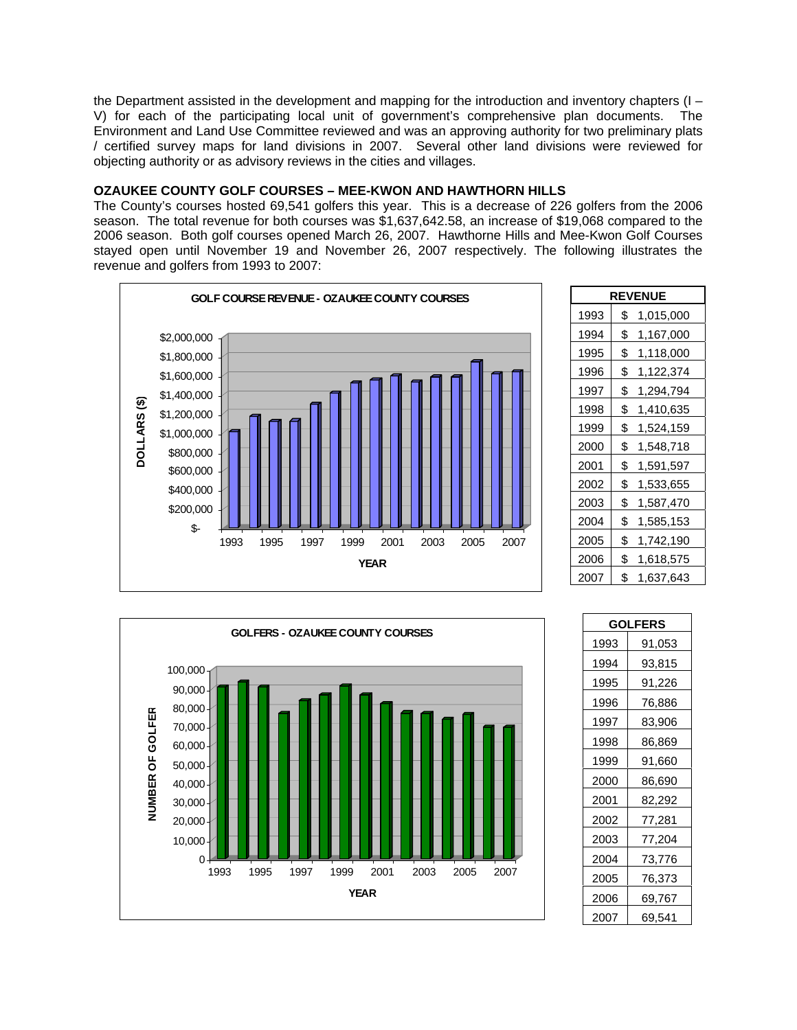the Department assisted in the development and mapping for the introduction and inventory chapters (I – V) for each of the participating local unit of government's comprehensive plan documents. The Environment and Land Use Committee reviewed and was an approving authority for two preliminary plats / certified survey maps for land divisions in 2007. Several other land divisions were reviewed for objecting authority or as advisory reviews in the cities and villages.

# **OZAUKEE COUNTY GOLF COURSES – MEE-KWON AND HAWTHORN HILLS**

The County's courses hosted 69,541 golfers this year. This is a decrease of 226 golfers from the 2006 season. The total revenue for both courses was \$1,637,642.58, an increase of \$19,068 compared to the 2006 season. Both golf courses opened March 26, 2007. Hawthorne Hills and Mee-Kwon Golf Courses stayed open until November 19 and November 26, 2007 respectively. The following illustrates the revenue and golfers from 1993 to 2007:



| <b>REVENUE</b> |                 |  |
|----------------|-----------------|--|
| 1993           | \$<br>1,015,000 |  |
| 1994           | \$<br>1,167,000 |  |
| 1995           | \$<br>1,118,000 |  |
| 1996           | \$<br>1,122,374 |  |
| 1997           | \$<br>1,294,794 |  |
| 1998           | \$<br>1,410,635 |  |
| 1999           | \$<br>1,524,159 |  |
| 2000           | \$<br>1,548,718 |  |
| 2001           | \$<br>1,591,597 |  |
| 2002           | \$<br>1,533,655 |  |
| 2003           | \$<br>1,587,470 |  |
| 2004           | \$<br>1,585,153 |  |
| 2005           | \$<br>1,742,190 |  |
| 2006           | \$<br>1,618,575 |  |
| 2007           | \$<br>1,637,643 |  |



| <b>GOLFERS</b> |        |
|----------------|--------|
| 1993           | 91,053 |
| 1994           | 93,815 |
| 1995           | 91,226 |
| 1996           | 76,886 |
| 1997           | 83,906 |
| 1998           | 86,869 |
| 1999           | 91,660 |
| 2000           | 86,690 |
| 2001           | 82,292 |
| 2002           | 77,281 |
| 2003           | 77,204 |
| 2004           | 73,776 |
| 2005           | 76,373 |
| 2006           | 69,767 |
| 2007           | 69,541 |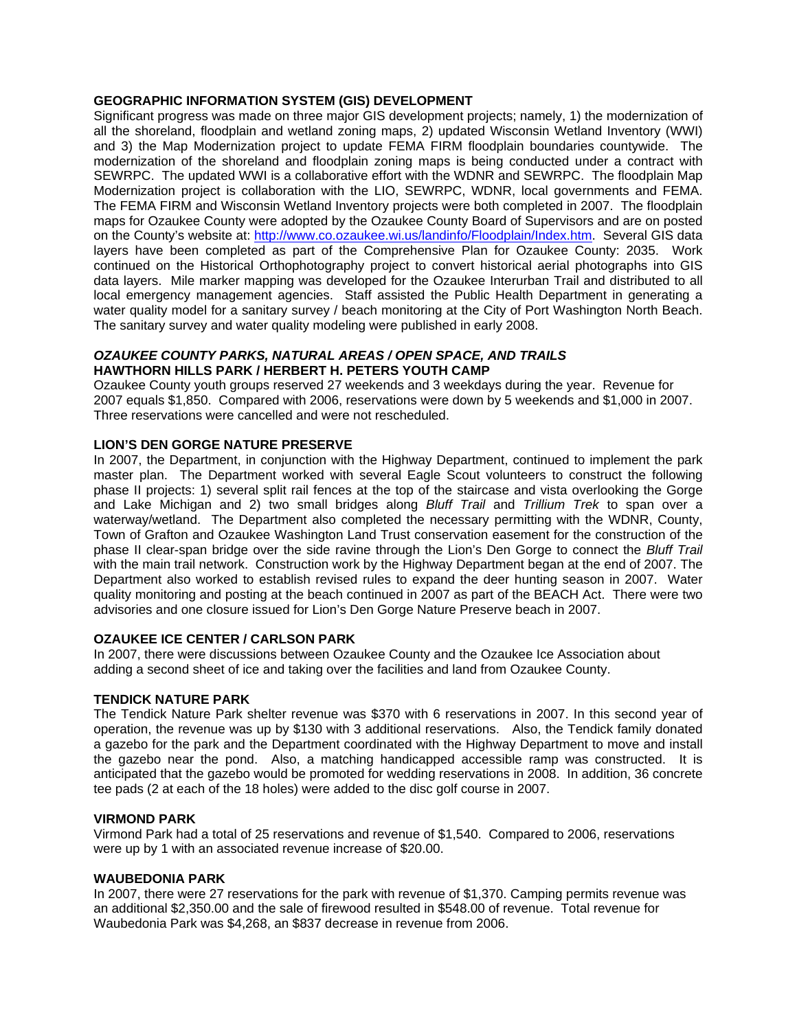## **GEOGRAPHIC INFORMATION SYSTEM (GIS) DEVELOPMENT**

Significant progress was made on three major GIS development projects; namely, 1) the modernization of all the shoreland, floodplain and wetland zoning maps, 2) updated Wisconsin Wetland Inventory (WWI) and 3) the Map Modernization project to update FEMA FIRM floodplain boundaries countywide. The modernization of the shoreland and floodplain zoning maps is being conducted under a contract with SEWRPC. The updated WWI is a collaborative effort with the WDNR and SEWRPC. The floodplain Map Modernization project is collaboration with the LIO, SEWRPC, WDNR, local governments and FEMA. The FEMA FIRM and Wisconsin Wetland Inventory projects were both completed in 2007. The floodplain maps for Ozaukee County were adopted by the Ozaukee County Board of Supervisors and are on posted on the County's website at: http://www.co.ozaukee.wi.us/landinfo/Floodplain/Index.htm. Several GIS data layers have been completed as part of the Comprehensive Plan for Ozaukee County: 2035. Work continued on the Historical Orthophotography project to convert historical aerial photographs into GIS data layers. Mile marker mapping was developed for the Ozaukee Interurban Trail and distributed to all local emergency management agencies. Staff assisted the Public Health Department in generating a water quality model for a sanitary survey / beach monitoring at the City of Port Washington North Beach. The sanitary survey and water quality modeling were published in early 2008.

## *OZAUKEE COUNTY PARKS, NATURAL AREAS / OPEN SPACE, AND TRAILS*  **HAWTHORN HILLS PARK / HERBERT H. PETERS YOUTH CAMP**

Ozaukee County youth groups reserved 27 weekends and 3 weekdays during the year. Revenue for 2007 equals \$1,850. Compared with 2006, reservations were down by 5 weekends and \$1,000 in 2007. Three reservations were cancelled and were not rescheduled.

# **LION'S DEN GORGE NATURE PRESERVE**

In 2007, the Department, in conjunction with the Highway Department, continued to implement the park master plan. The Department worked with several Eagle Scout volunteers to construct the following phase II projects: 1) several split rail fences at the top of the staircase and vista overlooking the Gorge and Lake Michigan and 2) two small bridges along *Bluff Trail* and *Trillium Trek* to span over a waterway/wetland. The Department also completed the necessary permitting with the WDNR, County, Town of Grafton and Ozaukee Washington Land Trust conservation easement for the construction of the phase II clear-span bridge over the side ravine through the Lion's Den Gorge to connect the *Bluff Trail* with the main trail network. Construction work by the Highway Department began at the end of 2007. The Department also worked to establish revised rules to expand the deer hunting season in 2007. Water quality monitoring and posting at the beach continued in 2007 as part of the BEACH Act. There were two advisories and one closure issued for Lion's Den Gorge Nature Preserve beach in 2007.

#### **OZAUKEE ICE CENTER / CARLSON PARK**

In 2007, there were discussions between Ozaukee County and the Ozaukee Ice Association about adding a second sheet of ice and taking over the facilities and land from Ozaukee County.

#### **TENDICK NATURE PARK**

The Tendick Nature Park shelter revenue was \$370 with 6 reservations in 2007. In this second year of operation, the revenue was up by \$130 with 3 additional reservations. Also, the Tendick family donated a gazebo for the park and the Department coordinated with the Highway Department to move and install the gazebo near the pond. Also, a matching handicapped accessible ramp was constructed. It is anticipated that the gazebo would be promoted for wedding reservations in 2008. In addition, 36 concrete tee pads (2 at each of the 18 holes) were added to the disc golf course in 2007.

#### **VIRMOND PARK**

Virmond Park had a total of 25 reservations and revenue of \$1,540. Compared to 2006, reservations were up by 1 with an associated revenue increase of \$20.00.

#### **WAUBEDONIA PARK**

In 2007, there were 27 reservations for the park with revenue of \$1,370. Camping permits revenue was an additional \$2,350.00 and the sale of firewood resulted in \$548.00 of revenue. Total revenue for Waubedonia Park was \$4,268, an \$837 decrease in revenue from 2006.